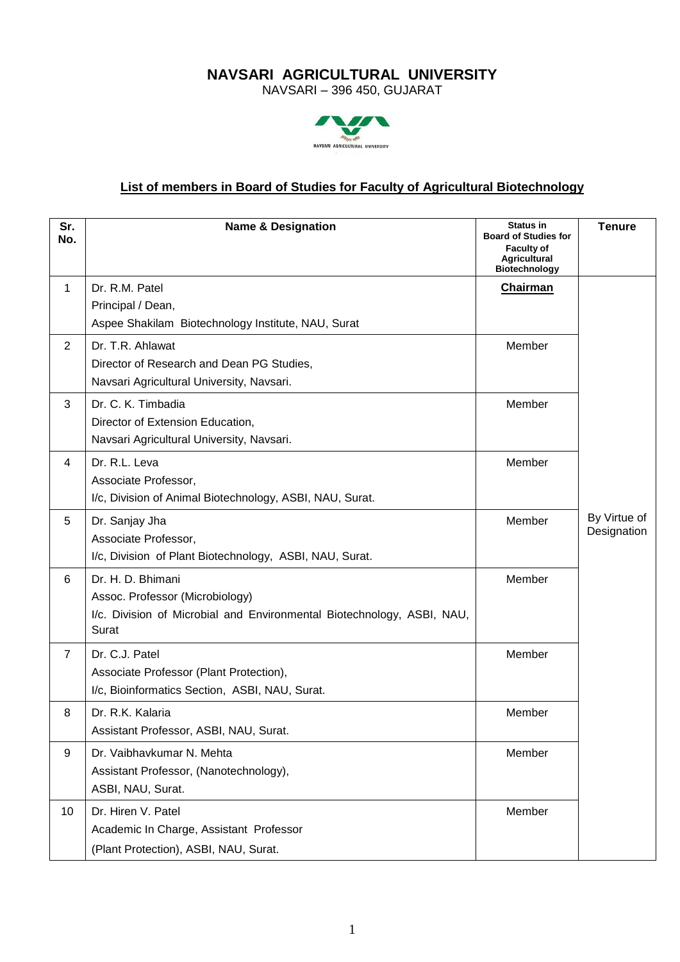## **NAVSARI AGRICULTURAL UNIVERSITY**

NAVSARI – 396 450, GUJARAT



## **List of members in Board of Studies for Faculty of Agricultural Biotechnology**

| Sr.<br>No.       | <b>Name &amp; Designation</b>                                                                                                           | <b>Status in</b><br><b>Board of Studies for</b><br><b>Faculty of</b><br><b>Agricultural</b><br><b>Biotechnology</b> | <b>Tenure</b>               |
|------------------|-----------------------------------------------------------------------------------------------------------------------------------------|---------------------------------------------------------------------------------------------------------------------|-----------------------------|
| 1                | Dr. R.M. Patel<br>Principal / Dean,<br>Aspee Shakilam Biotechnology Institute, NAU, Surat                                               | Chairman                                                                                                            |                             |
| $\overline{2}$   | Dr. T.R. Ahlawat<br>Director of Research and Dean PG Studies,<br>Navsari Agricultural University, Navsari.                              | Member                                                                                                              |                             |
| 3                | Dr. C. K. Timbadia<br>Director of Extension Education,<br>Navsari Agricultural University, Navsari.                                     | Member                                                                                                              |                             |
| 4                | Dr. R.L. Leva<br>Associate Professor,<br>I/c, Division of Animal Biotechnology, ASBI, NAU, Surat.                                       | Member                                                                                                              |                             |
| 5                | Dr. Sanjay Jha<br>Associate Professor,<br>I/c, Division of Plant Biotechnology, ASBI, NAU, Surat.                                       | Member                                                                                                              | By Virtue of<br>Designation |
| 6                | Dr. H. D. Bhimani<br>Assoc. Professor (Microbiology)<br>I/c. Division of Microbial and Environmental Biotechnology, ASBI, NAU,<br>Surat | Member                                                                                                              |                             |
| $\overline{7}$   | Dr. C.J. Patel<br>Associate Professor (Plant Protection),<br>I/c, Bioinformatics Section, ASBI, NAU, Surat.                             | Member                                                                                                              |                             |
| 8                | Dr. R.K. Kalaria<br>Assistant Professor, ASBI, NAU, Surat.                                                                              | Member                                                                                                              |                             |
| $\boldsymbol{9}$ | Dr. Vaibhavkumar N. Mehta<br>Assistant Professor, (Nanotechnology),<br>ASBI, NAU, Surat.                                                | Member                                                                                                              |                             |
| 10 <sup>1</sup>  | Dr. Hiren V. Patel<br>Academic In Charge, Assistant Professor<br>(Plant Protection), ASBI, NAU, Surat.                                  | Member                                                                                                              |                             |